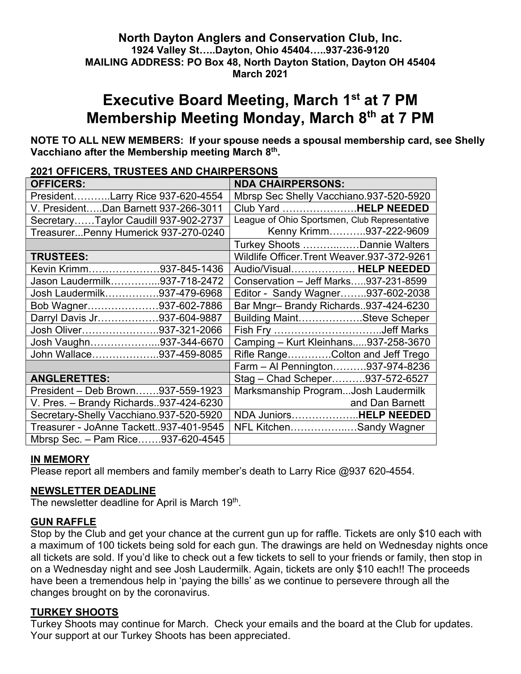#### **North Dayton Anglers and Conservation Club, Inc. 1924 Valley St…..Dayton, Ohio 45404…..937-236-9120 MAILING ADDRESS: PO Box 48, North Dayton Station, Dayton OH 45404 March 2021**

# **Executive Board Meeting, March 1st at 7 PM Membership Meeting Monday, March 8th at 7 PM**

**NOTE TO ALL NEW MEMBERS: If your spouse needs a spousal membership card, see Shelly Vacchiano after the Membership meeting March 8th.**

| <u> 2021 OFFICERS, IRUSTEES AND CHAIRPERSONS</u> |                                               |
|--------------------------------------------------|-----------------------------------------------|
| <b>OFFICERS:</b>                                 | <b>NDA CHAIRPERSONS:</b>                      |
| PresidentLarry Rice 937-620-4554                 | Mbrsp Sec Shelly Vacchiano.937-520-5920       |
| V. PresidentDan Barnett 937-266-3011             | Club Yard HELP NEEDED                         |
| SecretaryTaylor Caudill 937-902-2737             | League of Ohio Sportsmen, Club Representative |
| TreasurerPenny Humerick 937-270-0240             | Kenny Krimm937-222-9609                       |
|                                                  | Turkey Shoots Dannie Walters                  |
| <b>TRUSTEES:</b>                                 | Wildlife Officer. Trent Weaver. 937-372-9261  |
| Kevin Krimm937-845-1436                          | Audio/Visual HELP NEEDED                      |
| Jason Laudermilk937-718-2472                     | Conservation - Jeff Marks937-231-8599         |
| Josh Laudermilk937-479-6968                      | Editor - Sandy Wagner937-602-2038             |
| Bob Wagner937-602-7886                           | Bar Mngr-Brandy Richards937-424-6230          |
| Darryl Davis Jr937-604-9887                      | Building MaintSteve Scheper                   |
| Josh Oliver937-321-2066                          |                                               |
| Josh Vaughn937-344-6670                          | Camping - Kurt Kleinhans937-258-3670          |
| John Wallace937-459-8085                         | Rifle RangeColton and Jeff Trego              |
|                                                  | Farm - Al Pennington937-974-8236              |
| <b>ANGLERETTES:</b>                              | Stag - Chad Scheper937-572-6527               |
| President - Deb Brown937-559-1923                | Marksmanship ProgramJosh Laudermilk           |
| V. Pres. - Brandy Richards937-424-6230           | and Dan Barnett                               |
| Secretary-Shelly Vacchiano.937-520-5920          | NDA JuniorsHELP NEEDED                        |
| Treasurer - JoAnne Tackett937-401-9545           | NFL KitchenSandy Wagner                       |
| Mbrsp Sec. - Pam Rice937-620-4545                |                                               |

# **2021 OFFICERS, TRUSTEES AND CHAIRPERSONS**

#### **IN MEMORY**

Please report all members and family member's death to Larry Rice @937 620-4554.

#### **NEWSLETTER DEADLINE**

The newsletter deadline for April is March 19<sup>th</sup>.

#### **GUN RAFFLE**

Stop by the Club and get your chance at the current gun up for raffle. Tickets are only \$10 each with a maximum of 100 tickets being sold for each gun. The drawings are held on Wednesday nights once all tickets are sold. If you'd like to check out a few tickets to sell to your friends or family, then stop in on a Wednesday night and see Josh Laudermilk. Again, tickets are only \$10 each!! The proceeds have been a tremendous help in 'paying the bills' as we continue to persevere through all the changes brought on by the coronavirus.

#### **TURKEY SHOOTS**

Turkey Shoots may continue for March. Check your emails and the board at the Club for updates. Your support at our Turkey Shoots has been appreciated.